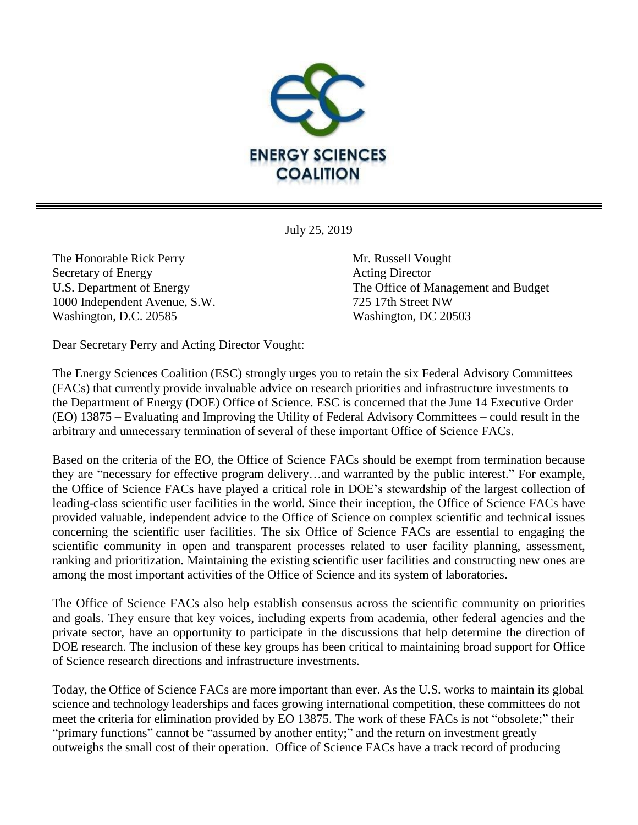

July 25, 2019

The Honorable Rick Perry Mr. Russell Vought Secretary of Energy Acting Director 1000 Independent Avenue, S.W. 725 17th Street NW Washington, D.C. 20585 Washington, DC 20503

U.S. Department of Energy The Office of Management and Budget

Dear Secretary Perry and Acting Director Vought:

The Energy Sciences Coalition (ESC) strongly urges you to retain the six Federal Advisory Committees (FACs) that currently provide invaluable advice on research priorities and infrastructure investments to the Department of Energy (DOE) Office of Science. ESC is concerned that the June 14 Executive Order (EO) 13875 – Evaluating and Improving the Utility of Federal Advisory Committees – could result in the arbitrary and unnecessary termination of several of these important Office of Science FACs.

Based on the criteria of the EO, the Office of Science FACs should be exempt from termination because they are "necessary for effective program delivery…and warranted by the public interest." For example, the Office of Science FACs have played a critical role in DOE's stewardship of the largest collection of leading-class scientific user facilities in the world. Since their inception, the Office of Science FACs have provided valuable, independent advice to the Office of Science on complex scientific and technical issues concerning the scientific user facilities. The six Office of Science FACs are essential to engaging the scientific community in open and transparent processes related to user facility planning, assessment, ranking and prioritization. Maintaining the existing scientific user facilities and constructing new ones are among the most important activities of the Office of Science and its system of laboratories.

The Office of Science FACs also help establish consensus across the scientific community on priorities and goals. They ensure that key voices, including experts from academia, other federal agencies and the private sector, have an opportunity to participate in the discussions that help determine the direction of DOE research. The inclusion of these key groups has been critical to maintaining broad support for Office of Science research directions and infrastructure investments.

Today, the Office of Science FACs are more important than ever. As the U.S. works to maintain its global science and technology leaderships and faces growing international competition, these committees do not meet the criteria for elimination provided by EO 13875. The work of these FACs is not "obsolete;" their "primary functions" cannot be "assumed by another entity;" and the return on investment greatly outweighs the small cost of their operation. Office of Science FACs have a track record of producing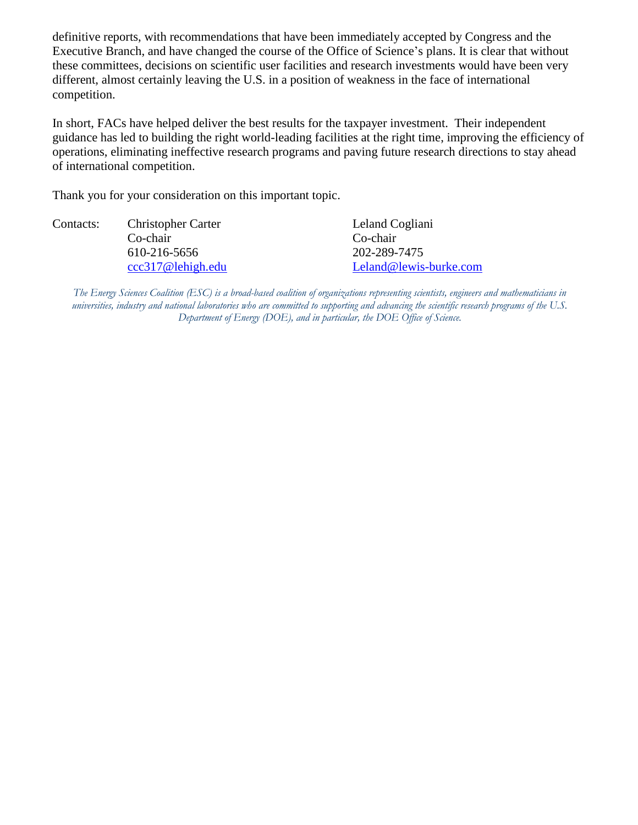definitive reports, with recommendations that have been immediately accepted by Congress and the Executive Branch, and have changed the course of the Office of Science's plans. It is clear that without these committees, decisions on scientific user facilities and research investments would have been very different, almost certainly leaving the U.S. in a position of weakness in the face of international competition.

In short, FACs have helped deliver the best results for the taxpayer investment. Their independent guidance has led to building the right world-leading facilities at the right time, improving the efficiency of operations, eliminating ineffective research programs and paving future research directions to stay ahead of international competition.

Thank you for your consideration on this important topic.

| Contacts: | <b>Christopher Carter</b> | Leland Cogliani        |
|-----------|---------------------------|------------------------|
|           | Co-chair                  | Co-chair               |
|           | 610-216-5656              | 202-289-7475           |
|           | ccc317@lehigh.edu         | Leland@lewis-burke.com |

*The Energy Sciences Coalition (ESC) is a broad-based coalition of organizations representing scientists, engineers and mathematicians in universities, industry and national laboratories who are committed to supporting and advancing the scientific research programs of the U.S. Department of Energy (DOE), and in particular, the DOE Office of Science.*